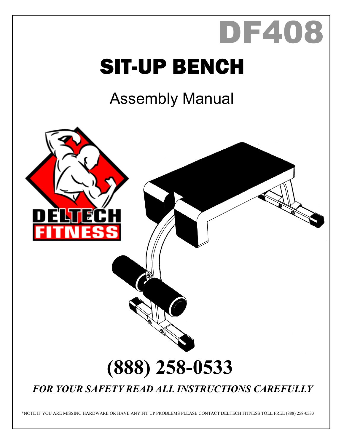

\*NOTE IF YOU ARE MISSING HARDWARE OR HAVE ANY FIT UP PROBLEMS PLEASE CONTACT DELTECH FITNESS TOLL FREE (888) 258-0533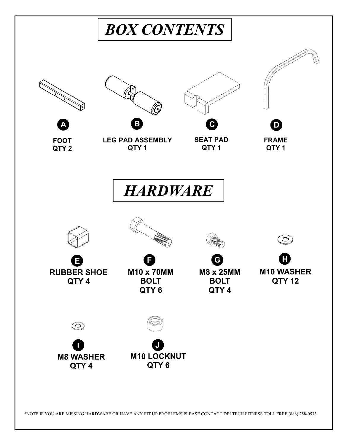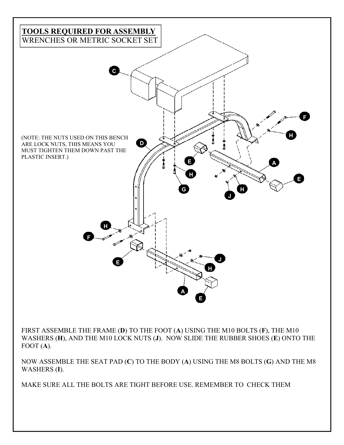

MAKE SURE ALL THE BOLTS ARE TIGHT BEFORE USE. REMEMBER TO CHECK THEM